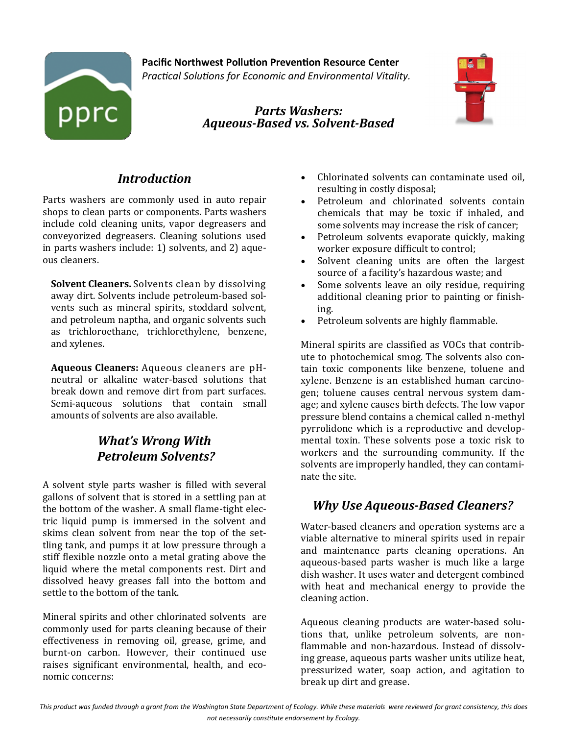

**Pacific Northwest Pollution Prevention Resource Center** *Practical Solutions for Economic and Environmental Vitality.*

> *Parts Washers: Aqueous-Based vs. Solvent-Based*



# *Introduction*

Parts washers are commonly used in auto repair shops to clean parts or components. Parts washers include cold cleaning units, vapor degreasers and conveyorized degreasers. Cleaning solutions used in parts washers include: 1) solvents, and 2) aqueous cleaners.

**Solvent Cleaners.** Solvents clean by dissolving away dirt. Solvents include petroleum-based solvents such as mineral spirits, stoddard solvent, and petroleum naptha, and organic solvents such as trichloroethane, trichlorethylene, benzene, and xylenes.

**Aqueous Cleaners:** Aqueous cleaners are pHneutral or alkaline water-based solutions that break down and remove dirt from part surfaces. Semi-aqueous solutions that contain small amounts of solvents are also available.

# *What's Wrong With Petroleum Solvents?*

A solvent style parts washer is filled with several gallons of solvent that is stored in a settling pan at the bottom of the washer. A small flame-tight electric liquid pump is immersed in the solvent and skims clean solvent from near the top of the settling tank, and pumps it at low pressure through a stiff flexible nozzle onto a metal grating above the liquid where the metal components rest. Dirt and dissolved heavy greases fall into the bottom and settle to the bottom of the tank.

Mineral spirits and other chlorinated solvents are commonly used for parts cleaning because of their effectiveness in removing oil, grease, grime, and burnt-on carbon. However, their continued use raises significant environmental, health, and economic concerns:

- Chlorinated solvents can contaminate used oil, resulting in costly disposal;
- Petroleum and chlorinated solvents contain chemicals that may be toxic if inhaled, and some solvents may increase the risk of cancer;
- Petroleum solvents evaporate quickly, making worker exposure difficult to control;
- Solvent cleaning units are often the largest source of a facility's hazardous waste; and
- Some solvents leave an oily residue, requiring additional cleaning prior to painting or finishing.
- Petroleum solvents are highly flammable.

Mineral spirits are classified as VOCs that contribute to photochemical smog. The solvents also contain toxic components like benzene, toluene and xylene. Benzene is an established human carcinogen; toluene causes central nervous system damage; and xylene causes birth defects. The low vapor pressure blend contains a chemical called n-methyl pyrrolidone which is a reproductive and developmental toxin. These solvents pose a toxic risk to workers and the surrounding community. If the solvents are improperly handled, they can contaminate the site.

# *Why Use Aqueous-Based Cleaners?*

Water-based cleaners and operation systems are a viable alternative to mineral spirits used in repair and maintenance parts cleaning operations. An aqueous-based parts washer is much like a large dish washer. It uses water and detergent combined with heat and mechanical energy to provide the cleaning action.

Aqueous cleaning products are water-based solutions that, unlike petroleum solvents, are nonflammable and non-hazardous. Instead of dissolving grease, aqueous parts washer units utilize heat, pressurized water, soap action, and agitation to break up dirt and grease.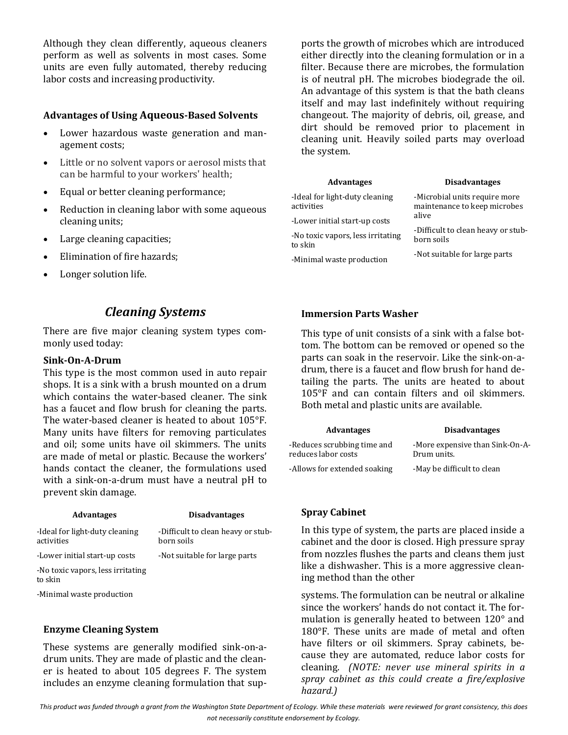Although they clean differently, aqueous cleaners perform as well as solvents in most cases. Some units are even fully automated, thereby reducing labor costs and increasing productivity.

## **Advantages of Using Aqueous-Based Solvents**

- Lower hazardous waste generation and management costs;
- Little or no solvent vapors or aerosol mists that can be harmful to your workers' health;
- Equal or better cleaning performance;
- Reduction in cleaning labor with some aqueous cleaning units;
- Large cleaning capacities;
- Elimination of fire hazards;
- Longer solution life.

## *Cleaning Systems*

There are five major cleaning system types commonly used today:

## **Sink-On-A-Drum**

This type is the most common used in auto repair shops. It is a sink with a brush mounted on a drum which contains the water-based cleaner. The sink has a faucet and flow brush for cleaning the parts. The water-based cleaner is heated to about 105°F. Many units have filters for removing particulates and oil; some units have oil skimmers. The units are made of metal or plastic. Because the workers' hands contact the cleaner, the formulations used with a sink-on-a-drum must have a neutral pH to prevent skin damage.

| <b>Advantages</b>                            | <b>Disadvantages</b>                             |
|----------------------------------------------|--------------------------------------------------|
| -Ideal for light-duty cleaning<br>activities | -Difficult to clean heavy or stub-<br>born soils |
| -Lower initial start-up costs                | -Not suitable for large parts                    |
| -No toxic vapors, less irritating<br>to skin |                                                  |
| -Minimal waste production                    |                                                  |

## **Enzyme Cleaning System**

These systems are generally modified sink-on-adrum units. They are made of plastic and the cleaner is heated to about 105 degrees F. The system includes an enzyme cleaning formulation that supports the growth of microbes which are introduced either directly into the cleaning formulation or in a filter. Because there are microbes, the formulation is of neutral pH. The microbes biodegrade the oil. An advantage of this system is that the bath cleans itself and may last indefinitely without requiring changeout. The majority of debris, oil, grease, and dirt should be removed prior to placement in cleaning unit. Heavily soiled parts may overload the system.

| <b>Advantages</b>                            | <b>Disadvantages</b>                                                                                                                                        |
|----------------------------------------------|-------------------------------------------------------------------------------------------------------------------------------------------------------------|
| -Ideal for light-duty cleaning<br>activities | -Microbial units require more<br>maintenance to keep microbes<br>alive<br>-Difficult to clean heavy or stub-<br>born soils<br>-Not suitable for large parts |
| -Lower initial start-up costs                |                                                                                                                                                             |
| -No toxic vapors, less irritating<br>to skin |                                                                                                                                                             |
| -Minimal waste production                    |                                                                                                                                                             |

## **Immersion Parts Washer**

This type of unit consists of a sink with a false bottom. The bottom can be removed or opened so the parts can soak in the reservoir. Like the sink-on-adrum, there is a faucet and flow brush for hand detailing the parts. The units are heated to about 105°F and can contain filters and oil skimmers. Both metal and plastic units are available.

| <b>Advantages</b>                                  | <b>Disadvantages</b>                           |
|----------------------------------------------------|------------------------------------------------|
| -Reduces scrubbing time and<br>reduces labor costs | -More expensive than Sink-On-A-<br>Drum units. |
| -Allows for extended soaking                       | -May be difficult to clean                     |

## **Spray Cabinet**

In this type of system, the parts are placed inside a cabinet and the door is closed. High pressure spray from nozzles flushes the parts and cleans them just like a dishwasher. This is a more aggressive cleaning method than the other

systems. The formulation can be neutral or alkaline since the workers' hands do not contact it. The formulation is generally heated to between 120° and 180°F. These units are made of metal and often have filters or oil skimmers. Spray cabinets, because they are automated, reduce labor costs for cleaning. *(NOTE: never use mineral spirits in a spray cabinet as this could create a fire/explosive hazard.)*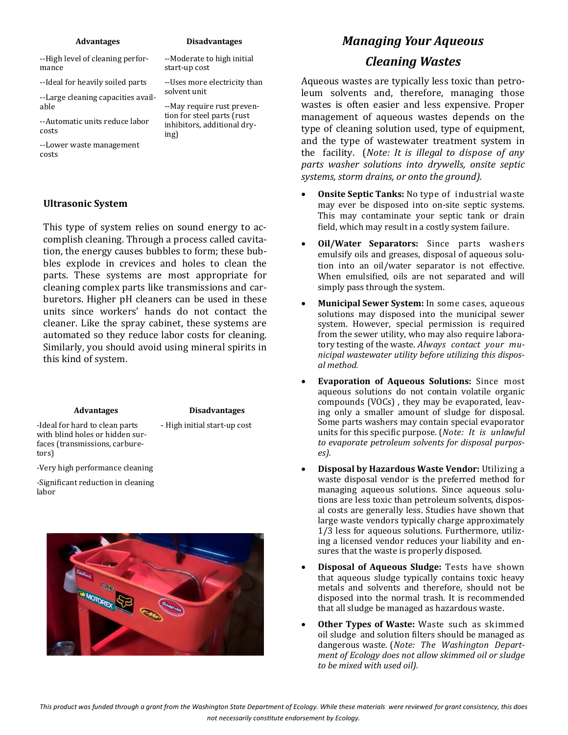#### **Advantages**

--High level of cleaning performance

--Ideal for heavily soiled parts

--Large cleaning capacities available

--Automatic units reduce labor costs

--Lower waste management costs

### **Ultrasonic System**

This type of system relies on sound energy to accomplish cleaning. Through a process called cavitation, the energy causes bubbles to form; these bubbles explode in crevices and holes to clean the parts. These systems are most appropriate for cleaning complex parts like transmissions and carburetors. Higher pH cleaners can be used in these units since workers' hands do not contact the cleaner. Like the spray cabinet, these systems are automated so they reduce labor costs for cleaning. Similarly, you should avoid using mineral spirits in this kind of system.

#### **Advantages**

#### **Disadvantages**

-Ideal for hard to clean parts with blind holes or hidden surfaces (transmissions, carburetors)

- High initial start-up cost

-Very high performance cleaning

-Significant reduction in cleaning labor



# *Managing Your Aqueous*

## *Cleaning Wastes*

Aqueous wastes are typically less toxic than petroleum solvents and, therefore, managing those wastes is often easier and less expensive. Proper management of aqueous wastes depends on the type of cleaning solution used, type of equipment, and the type of wastewater treatment system in the facility. (*Note: It is illegal to dispose of any parts washer solutions into drywells, onsite septic systems, storm drains, or onto the ground).* 

- **Onsite Septic Tanks:** No type of industrial waste may ever be disposed into on-site septic systems. This may contaminate your septic tank or drain field, which may result in a costly system failure.
- **Oil/Water Separators:** Since parts washers emulsify oils and greases, disposal of aqueous solution into an oil/water separator is not effective. When emulsified, oils are not separated and will simply pass through the system.
- **Municipal Sewer System:** In some cases, aqueous solutions may disposed into the municipal sewer system. However, special permission is required from the sewer utility, who may also require laboratory testing of the waste. *Always contact your municipal wastewater utility before utilizing this disposal method.*
- **Evaporation of Aqueous Solutions:** Since most aqueous solutions do not contain volatile organic compounds (VOCs) , they may be evaporated, leaving only a smaller amount of sludge for disposal. Some parts washers may contain special evaporator units for this specific purpose. (*Note: It is unlawful to evaporate petroleum solvents for disposal purposes).*
- **Disposal by Hazardous Waste Vendor:** Utilizing a waste disposal vendor is the preferred method for managing aqueous solutions. Since aqueous solutions are less toxic than petroleum solvents, disposal costs are generally less. Studies have shown that large waste vendors typically charge approximately 1/3 less for aqueous solutions. Furthermore, utilizing a licensed vendor reduces your liability and ensures that the waste is properly disposed.
- **Disposal of Aqueous Sludge:** Tests have shown that aqueous sludge typically contains toxic heavy metals and solvents and therefore, should not be disposed into the normal trash. It is recommended that all sludge be managed as hazardous waste.
- **Other Types of Waste:** Waste such as skimmed oil sludge and solution filters should be managed as dangerous waste. (*Note: The Washington Department of Ecology does not allow skimmed oil or sludge to be mixed with used oil).*

solvent unit --May require rust prevention for steel parts (rust inhibitors, additional drying)

start-up cost

**Disadvantages** --Moderate to high initial

--Uses more electricity than